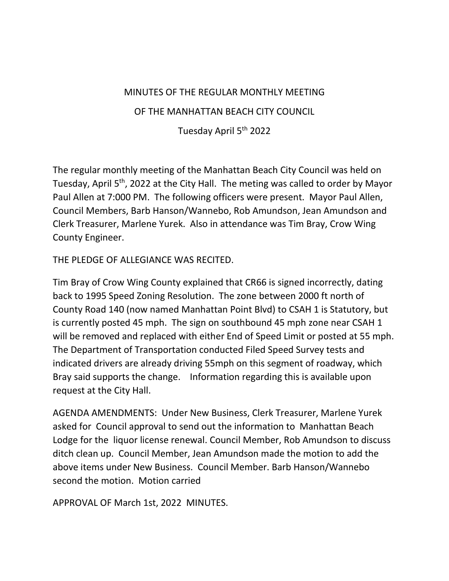### MINUTES OF THE REGULAR MONTHLY MEETING

#### OF THE MANHATTAN BEACH CITY COUNCIL

Tuesday April 5th 2022

The regular monthly meeting of the Manhattan Beach City Council was held on Tuesday, April 5<sup>th</sup>, 2022 at the City Hall. The meting was called to order by Mayor Paul Allen at 7:000 PM. The following officers were present. Mayor Paul Allen, Council Members, Barb Hanson/Wannebo, Rob Amundson, Jean Amundson and Clerk Treasurer, Marlene Yurek. Also in attendance was Tim Bray, Crow Wing County Engineer.

### THE PLEDGE OF ALLEGIANCE WAS RECITED.

Tim Bray of Crow Wing County explained that CR66 is signed incorrectly, dating back to 1995 Speed Zoning Resolution. The zone between 2000 ft north of County Road 140 (now named Manhattan Point Blvd) to CSAH 1 is Statutory, but is currently posted 45 mph. The sign on southbound 45 mph zone near CSAH 1 will be removed and replaced with either End of Speed Limit or posted at 55 mph. The Department of Transportation conducted Filed Speed Survey tests and indicated drivers are already driving 55mph on this segment of roadway, which Bray said supports the change. Information regarding this is available upon request at the City Hall.

AGENDA AMENDMENTS: Under New Business, Clerk Treasurer, Marlene Yurek asked for Council approval to send out the information to Manhattan Beach Lodge for the liquor license renewal. Council Member, Rob Amundson to discuss ditch clean up. Council Member, Jean Amundson made the motion to add the above items under New Business. Council Member. Barb Hanson/Wannebo second the motion. Motion carried

APPROVAL OF March 1st, 2022 MINUTES.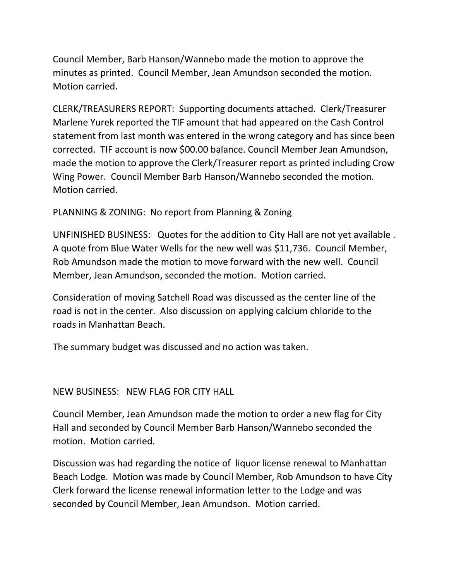Council Member, Barb Hanson/Wannebo made the motion to approve the minutes as printed. Council Member, Jean Amundson seconded the motion. Motion carried.

CLERK/TREASURERS REPORT: Supporting documents attached. Clerk/Treasurer Marlene Yurek reported the TIF amount that had appeared on the Cash Control statement from last month was entered in the wrong category and has since been corrected. TIF account is now \$00.00 balance. Council Member Jean Amundson, made the motion to approve the Clerk/Treasurer report as printed including Crow Wing Power. Council Member Barb Hanson/Wannebo seconded the motion. Motion carried.

# PLANNING & ZONING: No report from Planning & Zoning

UNFINISHED BUSINESS: Quotes for the addition to City Hall are not yet available . A quote from Blue Water Wells for the new well was \$11,736. Council Member, Rob Amundson made the motion to move forward with the new well. Council Member, Jean Amundson, seconded the motion. Motion carried.

Consideration of moving Satchell Road was discussed as the center line of the road is not in the center. Also discussion on applying calcium chloride to the roads in Manhattan Beach.

The summary budget was discussed and no action was taken.

## NEW BUSINESS: NEW FLAG FOR CITY HALL

Council Member, Jean Amundson made the motion to order a new flag for City Hall and seconded by Council Member Barb Hanson/Wannebo seconded the motion. Motion carried.

Discussion was had regarding the notice of liquor license renewal to Manhattan Beach Lodge. Motion was made by Council Member, Rob Amundson to have City Clerk forward the license renewal information letter to the Lodge and was seconded by Council Member, Jean Amundson. Motion carried.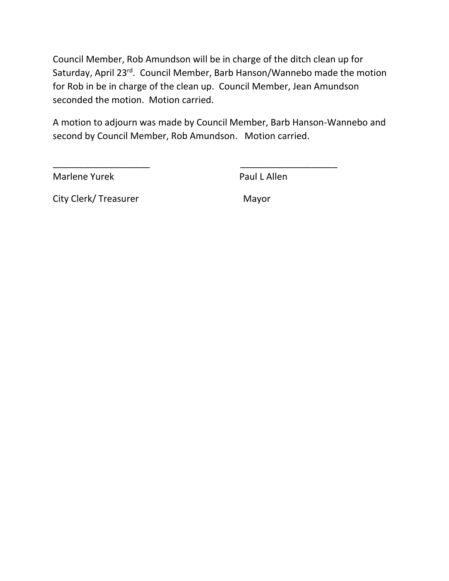Council Member, Rob Amundson will be in charge of the ditch clean up for Saturday, April 23rd. Council Member, Barb Hanson/Wannebo made the motion for Rob in be in charge of the clean up. Council Member, Jean Amundson seconded the motion. Motion carried.

A motion to adjourn was made by Council Member, Barb Hanson-Wannebo and second by Council Member, Rob Amundson. Motion carried.

\_\_\_\_\_\_\_\_\_\_\_\_\_\_\_\_\_\_\_ \_\_\_\_\_\_\_\_\_\_\_\_\_\_\_\_\_\_\_

Marlene Yurek **Paul L Allen** 

City Clerk/ Treasurer Mayor